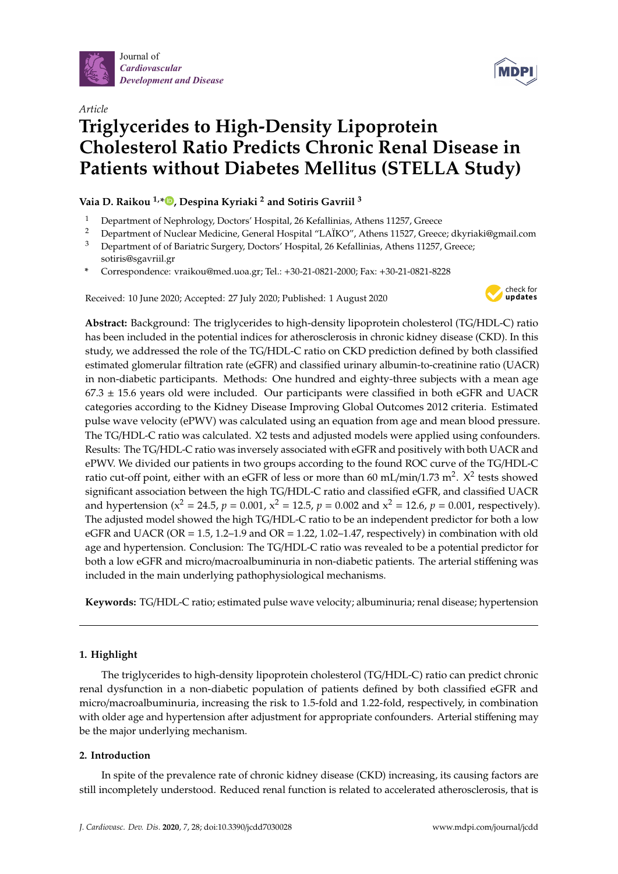





# **Triglycerides to High-Density Lipoprotein Cholesterol Ratio Predicts Chronic Renal Disease in Patients without Diabetes Mellitus (STELLA Study)**

**Vaia D. Raikou 1,\* [,](https://orcid.org/0000-0002-4290-8426) Despina Kyriaki <sup>2</sup> and Sotiris Gavriil <sup>3</sup>**

- <sup>1</sup> Department of Nephrology, Doctors' Hospital, 26 Kefallinias, Athens 11257, Greece<br><sup>2</sup> Department of Nuclear Medicine, Canaral Hospital "LA*IKO"*, Athens 11527, Greece
- <sup>2</sup> Department of Nuclear Medicine, General Hospital "LAÏKO", Athens 11527, Greece; dkyriaki@gmail.com <sup>3</sup> Department of of Bariatric Surgery, Doctors' Hospital, 26 Kefallinias, Athens 11257, Greece;
- sotiris@sgavriil.gr
- **\*** Correspondence: vraikou@med.uoa.gr; Tel.: +30-21-0821-2000; Fax: +30-21-0821-8228

Received: 10 June 2020; Accepted: 27 July 2020; Published: 1 August 2020



**Abstract:** Background: The triglycerides to high-density lipoprotein cholesterol (TG/HDL-C) ratio has been included in the potential indices for atherosclerosis in chronic kidney disease (CKD). In this study, we addressed the role of the TG/HDL-C ratio on CKD prediction defined by both classified estimated glomerular filtration rate (eGFR) and classified urinary albumin-to-creatinine ratio (UACR) in non-diabetic participants. Methods: One hundred and eighty-three subjects with a mean age  $67.3 \pm 15.6$  years old were included. Our participants were classified in both eGFR and UACR categories according to the Kidney Disease Improving Global Outcomes 2012 criteria. Estimated pulse wave velocity (ePWV) was calculated using an equation from age and mean blood pressure. The TG/HDL-C ratio was calculated. X2 tests and adjusted models were applied using confounders. Results: The TG/HDL-C ratio was inversely associated with eGFR and positively with both UACR and ePWV. We divided our patients in two groups according to the found ROC curve of the TG/HDL-C ratio cut-off point, either with an eGFR of less or more than 60 mL/min/1.73 m<sup>2</sup>.  $X^2$  tests showed significant association between the high TG/HDL-C ratio and classified eGFR, and classified UACR and hypertension ( $x^2 = 24.5$ ,  $p = 0.001$ ,  $x^2 = 12.5$ ,  $p = 0.002$  and  $x^2 = 12.6$ ,  $p = 0.001$ , respectively). The adjusted model showed the high TG/HDL-C ratio to be an independent predictor for both a low eGFR and UACR (OR =  $1.5$ ,  $1.2-1.9$  and OR =  $1.22$ ,  $1.02-1.47$ , respectively) in combination with old age and hypertension. Conclusion: The TG/HDL-C ratio was revealed to be a potential predictor for both a low eGFR and micro/macroalbuminuria in non-diabetic patients. The arterial stiffening was included in the main underlying pathophysiological mechanisms.

**Keywords:** TG/HDL-C ratio; estimated pulse wave velocity; albuminuria; renal disease; hypertension

# **1. Highlight**

The triglycerides to high-density lipoprotein cholesterol (TG/HDL-C) ratio can predict chronic renal dysfunction in a non-diabetic population of patients defined by both classified eGFR and micro/macroalbuminuria, increasing the risk to 1.5-fold and 1.22-fold, respectively, in combination with older age and hypertension after adjustment for appropriate confounders. Arterial stiffening may be the major underlying mechanism.

# **2. Introduction**

In spite of the prevalence rate of chronic kidney disease (CKD) increasing, its causing factors are still incompletely understood. Reduced renal function is related to accelerated atherosclerosis, that is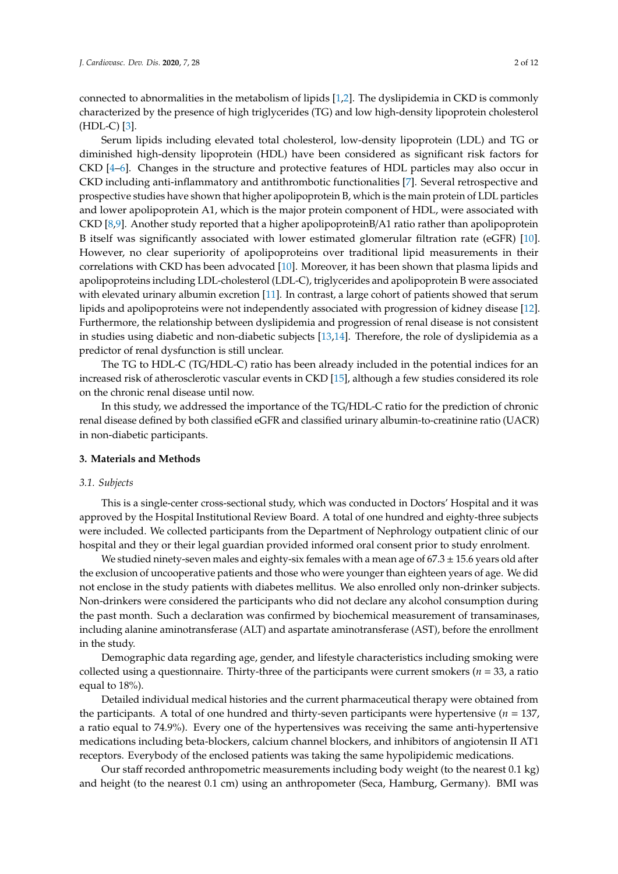connected to abnormalities in the metabolism of lipids [\[1,](#page-9-0)[2\]](#page-9-1). The dyslipidemia in CKD is commonly characterized by the presence of high triglycerides (TG) and low high-density lipoprotein cholesterol  $(HDL-C)$  [\[3\]](#page-9-2).

Serum lipids including elevated total cholesterol, low-density lipoprotein (LDL) and TG or diminished high-density lipoprotein (HDL) have been considered as significant risk factors for CKD [\[4–](#page-9-3)[6\]](#page-9-4). Changes in the structure and protective features of HDL particles may also occur in CKD including anti-inflammatory and antithrombotic functionalities [\[7\]](#page-9-5). Several retrospective and prospective studies have shown that higher apolipoprotein B, which is the main protein of LDL particles and lower apolipoprotein A1, which is the major protein component of HDL, were associated with CKD [\[8,](#page-9-6)[9\]](#page-9-7). Another study reported that a higher apolipoproteinB/A1 ratio rather than apolipoprotein B itself was significantly associated with lower estimated glomerular filtration rate (eGFR) [\[10\]](#page-9-8). However, no clear superiority of apolipoproteins over traditional lipid measurements in their correlations with CKD has been advocated [\[10\]](#page-9-8). Moreover, it has been shown that plasma lipids and apolipoproteins including LDL-cholesterol (LDL-C), triglycerides and apolipoprotein B were associated with elevated urinary albumin excretion [\[11\]](#page-10-0). In contrast, a large cohort of patients showed that serum lipids and apolipoproteins were not independently associated with progression of kidney disease [\[12\]](#page-10-1). Furthermore, the relationship between dyslipidemia and progression of renal disease is not consistent in studies using diabetic and non-diabetic subjects [\[13,](#page-10-2)[14\]](#page-10-3). Therefore, the role of dyslipidemia as a predictor of renal dysfunction is still unclear.

The TG to HDL-C (TG/HDL-C) ratio has been already included in the potential indices for an increased risk of atherosclerotic vascular events in CKD [\[15\]](#page-10-4), although a few studies considered its role on the chronic renal disease until now.

In this study, we addressed the importance of the TG/HDL-C ratio for the prediction of chronic renal disease defined by both classified eGFR and classified urinary albumin-to-creatinine ratio (UACR) in non-diabetic participants.

#### **3. Materials and Methods**

#### *3.1. Subjects*

This is a single-center cross-sectional study, which was conducted in Doctors' Hospital and it was approved by the Hospital Institutional Review Board. A total of one hundred and eighty-three subjects were included. We collected participants from the Department of Nephrology outpatient clinic of our hospital and they or their legal guardian provided informed oral consent prior to study enrolment.

We studied ninety-seven males and eighty-six females with a mean age of  $67.3 \pm 15.6$  years old after the exclusion of uncooperative patients and those who were younger than eighteen years of age. We did not enclose in the study patients with diabetes mellitus. We also enrolled only non-drinker subjects. Non-drinkers were considered the participants who did not declare any alcohol consumption during the past month. Such a declaration was confirmed by biochemical measurement of transaminases, including alanine aminotransferase (ALT) and aspartate aminotransferase (AST), before the enrollment in the study.

Demographic data regarding age, gender, and lifestyle characteristics including smoking were collected using a questionnaire. Thirty-three of the participants were current smokers ( $n = 33$ , a ratio equal to 18%).

Detailed individual medical histories and the current pharmaceutical therapy were obtained from the participants. A total of one hundred and thirty-seven participants were hypertensive (*n* = 137, a ratio equal to 74.9%). Every one of the hypertensives was receiving the same anti-hypertensive medications including beta-blockers, calcium channel blockers, and inhibitors of angiotensin II AT1 receptors. Everybody of the enclosed patients was taking the same hypolipidemic medications.

Our staff recorded anthropometric measurements including body weight (to the nearest 0.1 kg) and height (to the nearest 0.1 cm) using an anthropometer (Seca, Hamburg, Germany). BMI was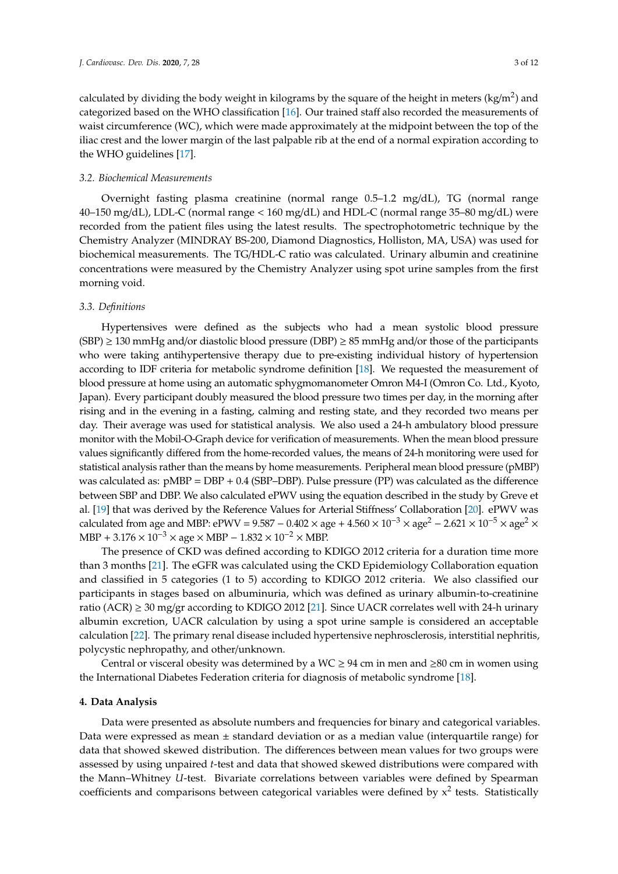calculated by dividing the body weight in kilograms by the square of the height in meters (kg/m<sup>2</sup>) and categorized based on the WHO classification [\[16\]](#page-10-5). Our trained staff also recorded the measurements of waist circumference (WC), which were made approximately at the midpoint between the top of the iliac crest and the lower margin of the last palpable rib at the end of a normal expiration according to the WHO guidelines [\[17\]](#page-10-6).

#### *3.2. Biochemical Measurements*

Overnight fasting plasma creatinine (normal range 0.5–1.2 mg/dL), TG (normal range 40–150 mg/dL), LDL-C (normal range < 160 mg/dL) and HDL-C (normal range 35–80 mg/dL) were recorded from the patient files using the latest results. The spectrophotometric technique by the Chemistry Analyzer (MINDRAY BS-200, Diamond Diagnostics, Holliston, MA, USA) was used for biochemical measurements. The TG/HDL-C ratio was calculated. Urinary albumin and creatinine concentrations were measured by the Chemistry Analyzer using spot urine samples from the first morning void.

#### *3.3. Definitions*

Hypertensives were defined as the subjects who had a mean systolic blood pressure  $(SBP) \ge 130$  mmHg and/or diastolic blood pressure (DBP)  $\ge 85$  mmHg and/or those of the participants who were taking antihypertensive therapy due to pre-existing individual history of hypertension according to IDF criteria for metabolic syndrome definition [\[18\]](#page-10-7). We requested the measurement of blood pressure at home using an automatic sphygmomanometer Omron M4-I (Omron Co. Ltd., Kyoto, Japan). Every participant doubly measured the blood pressure two times per day, in the morning after rising and in the evening in a fasting, calming and resting state, and they recorded two means per day. Their average was used for statistical analysis. We also used a 24-h ambulatory blood pressure monitor with the Mobil-O-Graph device for verification of measurements. When the mean blood pressure values significantly differed from the home-recorded values, the means of 24-h monitoring were used for statistical analysis rather than the means by home measurements. Peripheral mean blood pressure (pMBP) was calculated as: pMBP = DBP + 0.4 (SBP–DBP). Pulse pressure (PP) was calculated as the difference between SBP and DBP. We also calculated ePWV using the equation described in the study by Greve et al. [\[19\]](#page-10-8) that was derived by the Reference Values for Arterial Stiffness' Collaboration [\[20\]](#page-10-9). ePWV was calculated from age and MBP: ePWV =  $9.587 - 0.402 \times age + 4.560 \times 10^{-3} \times age^2 - 2.621 \times 10^{-5} \times age^2 \times$ MBP + 3.176  $\times$  10<sup>-3</sup>  $\times$  age  $\times$  MBP – 1.832  $\times$  10<sup>-2</sup>  $\times$  MBP.

The presence of CKD was defined according to KDIGO 2012 criteria for a duration time more than 3 months [\[21\]](#page-10-10). The eGFR was calculated using the CKD Epidemiology Collaboration equation and classified in 5 categories (1 to 5) according to KDIGO 2012 criteria. We also classified our participants in stages based on albuminuria, which was defined as urinary albumin-to-creatinine ratio (ACR)  $\geq$  30 mg/gr according to KDIGO 2012 [\[21\]](#page-10-10). Since UACR correlates well with 24-h urinary albumin excretion, UACR calculation by using a spot urine sample is considered an acceptable calculation [\[22\]](#page-10-11). The primary renal disease included hypertensive nephrosclerosis, interstitial nephritis, polycystic nephropathy, and other/unknown.

Central or visceral obesity was determined by a WC  $\geq$  94 cm in men and  $\geq$ 80 cm in women using the International Diabetes Federation criteria for diagnosis of metabolic syndrome [\[18\]](#page-10-7).

#### **4. Data Analysis**

Data were presented as absolute numbers and frequencies for binary and categorical variables. Data were expressed as mean  $\pm$  standard deviation or as a median value (interquartile range) for data that showed skewed distribution. The differences between mean values for two groups were assessed by using unpaired *t*-test and data that showed skewed distributions were compared with the Mann–Whitney *U*-test. Bivariate correlations between variables were defined by Spearman coefficients and comparisons between categorical variables were defined by  $x^2$  tests. Statistically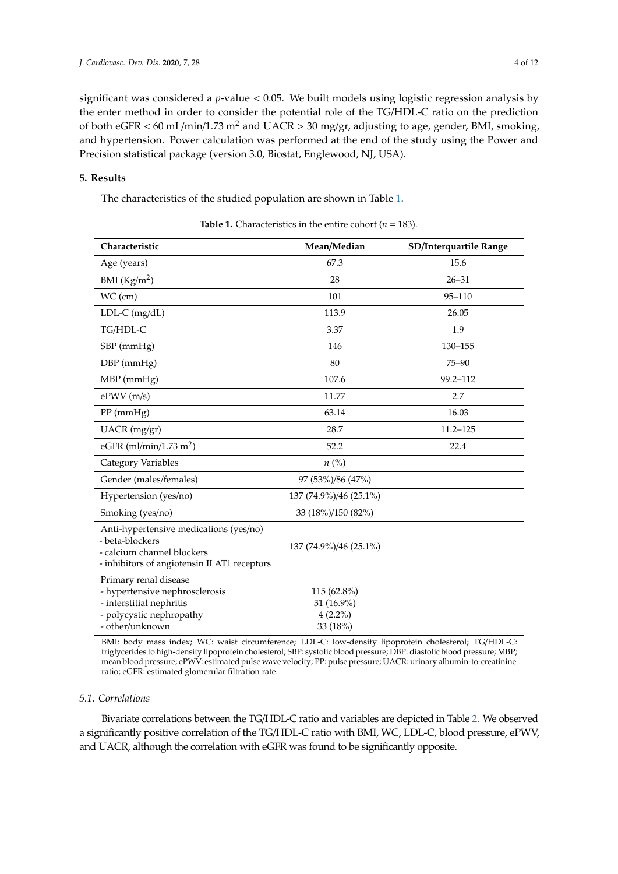significant was considered a *p*-value < 0.05. We built models using logistic regression analysis by the enter method in order to consider the potential role of the TG/HDL-C ratio on the prediction of both eGFR < 60 mL/min/1.73 m<sup>2</sup> and UACR > 30 mg/gr, adjusting to age, gender, BMI, smoking, and hypertension. Power calculation was performed at the end of the study using the Power and Precision statistical package (version 3.0, Biostat, Englewood, NJ, USA).

# **5. Results**

The characteristics of the studied population are shown in Table [1.](#page-3-0)

<span id="page-3-0"></span>

| Characteristic                                                                                                                          | Mean/Median                                         | SD/Interquartile Range |
|-----------------------------------------------------------------------------------------------------------------------------------------|-----------------------------------------------------|------------------------|
| Age (years)                                                                                                                             | 67.3                                                | 15.6                   |
| BMI $(Kg/m2)$                                                                                                                           | 28                                                  | $26 - 31$              |
| $WC$ (cm)                                                                                                                               | 101                                                 | 95-110                 |
| $LDL-C$ (mg/dL)                                                                                                                         | 113.9                                               | 26.05                  |
| TG/HDL-C                                                                                                                                | 3.37                                                | 1.9                    |
| SBP (mmHg)                                                                                                                              | 146                                                 | 130-155                |
| DBP (mmHg)                                                                                                                              | 80                                                  | $75 - 90$              |
| MBP (mmHg)                                                                                                                              | 107.6                                               | 99.2-112               |
| $e$ PWV $(m/s)$                                                                                                                         | 11.77                                               | 2.7                    |
| $PP$ (mmHg)                                                                                                                             | 63.14                                               | 16.03                  |
| UACR (mg/gr)                                                                                                                            | 28.7                                                | $11.2 - 125$           |
| eGFR (ml/min/1.73 m <sup>2</sup> )                                                                                                      | 52.2                                                | 22.4                   |
| Category Variables                                                                                                                      | $n\left(\%\right)$                                  |                        |
| Gender (males/females)                                                                                                                  | 97 (53%)/86 (47%)                                   |                        |
| Hypertension (yes/no)                                                                                                                   | 137 (74.9%)/46 (25.1%)                              |                        |
| Smoking (yes/no)                                                                                                                        | 33 (18%)/150 (82%)                                  |                        |
| Anti-hypertensive medications (yes/no)<br>- beta-blockers<br>- calcium channel blockers<br>- inhibitors of angiotensin II AT1 receptors | 137 (74.9%)/46 (25.1%)                              |                        |
| Primary renal disease<br>- hypertensive nephrosclerosis<br>- interstitial nephritis<br>- polycystic nephropathy<br>- other/unknown      | 115 (62.8%)<br>31 (16.9%)<br>$4(2.2\%)$<br>33 (18%) |                        |

**Table 1.** Characteristics in the entire cohort ( $n = 183$ ).

BMI: body mass index; WC: waist circumference; LDL-C: low-density lipoprotein cholesterol; TG/HDL-C: triglycerides to high-density lipoprotein cholesterol; SBP: systolic blood pressure; DBP: diastolic blood pressure; MBP; mean blood pressure; ePWV: estimated pulse wave velocity; PP: pulse pressure; UACR: urinary albumin-to-creatinine ratio; eGFR: estimated glomerular filtration rate.

#### *5.1. Correlations*

Bivariate correlations between the TG/HDL-C ratio and variables are depicted in Table [2.](#page-4-0) We observed a significantly positive correlation of the TG/HDL-C ratio with BMI, WC, LDL-C, blood pressure, ePWV, and UACR, although the correlation with eGFR was found to be significantly opposite.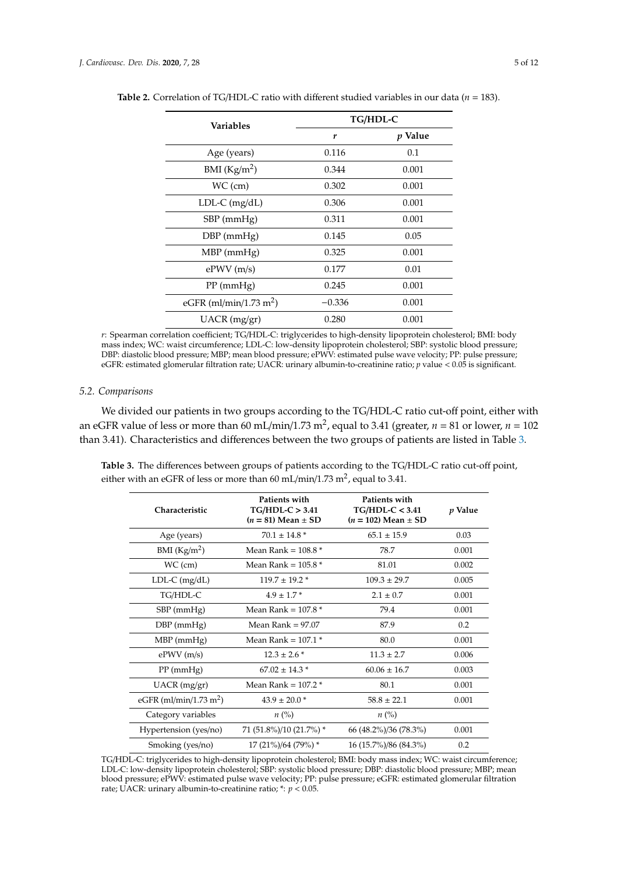| <b>Variables</b>                   | TG/HDL-C |                |
|------------------------------------|----------|----------------|
|                                    | r        | <i>p</i> Value |
| Age (years)                        | 0.116    | 0.1            |
| BMI $(Kg/m2)$                      | 0.344    | 0.001          |
| $WC$ (cm)                          | 0.302    | 0.001          |
| $LDL-C$ (mg/dL)                    | 0.306    | 0.001          |
| $SBP$ (mm $Hg$ )                   | 0.311    | 0.001          |
| $DBP$ (mm $Hg$ )                   | 0.145    | 0.05           |
| $MBP$ (mmHg)                       | 0.325    | 0.001          |
| $e$ PWV $(m/s)$                    | 0.177    | 0.01           |
| $PP$ (mmHg)                        | 0.245    | 0.001          |
| eGFR (ml/min/1.73 m <sup>2</sup> ) | $-0.336$ | 0.001          |
| UACR (mg/gr)                       | 0.280    | 0.001          |

<span id="page-4-0"></span>**Table 2.** Correlation of TG/HDL-C ratio with different studied variables in our data ( $n = 183$ ).

*r*: Spearman correlation coefficient; TG/HDL-C: triglycerides to high-density lipoprotein cholesterol; BMI: body mass index; WC: waist circumference; LDL-C: low-density lipoprotein cholesterol; SBP: systolic blood pressure; DBP: diastolic blood pressure; MBP; mean blood pressure; ePWV: estimated pulse wave velocity; PP: pulse pressure; eGFR: estimated glomerular filtration rate; UACR: urinary albumin-to-creatinine ratio; *p* value < 0.05 is significant.

# *5.2. Comparisons*

We divided our patients in two groups according to the TG/HDL-C ratio cut-off point, either with an eGFR value of less or more than 60 mL/min/1.73 m<sup>2</sup>, equal to 3.41 (greater,  $n = 81$  or lower,  $n = 102$ than 3.41). Characteristics and differences between the two groups of patients are listed in Table [3.](#page-4-1)

<span id="page-4-1"></span>**Table 3.** The differences between groups of patients according to the TG/HDL-C ratio cut-off point, either with an eGFR of less or more than 60 mL/min/1.73 m<sup>2</sup>, equal to 3.41.

| Characteristic                     | Patients with<br>$TG/HDL-C > 3.41$<br>$(n = 81)$ Mean $\pm$ SD | Patients with<br>$TG/HDL-C < 3.41$<br>$(n = 102)$ Mean $\pm$ SD | p Value |
|------------------------------------|----------------------------------------------------------------|-----------------------------------------------------------------|---------|
| Age (years)                        | $70.1 \pm 14.8*$                                               | $65.1 \pm 15.9$                                                 | 0.03    |
| BMI (Kg/m <sup>2</sup> )           | Mean Rank = $108.8*$                                           | 78.7                                                            | 0.001   |
| $WC$ (cm)                          | Mean Rank = $105.8*$                                           | 81.01                                                           | 0.002   |
| $LDL-C$ (mg/dL)                    | $119.7 \pm 19.2$ *                                             | $109.3 \pm 29.7$                                                | 0.005   |
| TG/HDL-C                           | $4.9 \pm 1.7$ *                                                | $2.1 \pm 0.7$                                                   | 0.001   |
| $SBP$ (mmHg)                       | Mean Rank = $107.8*$                                           | 79.4                                                            | 0.001   |
| $DBP$ (mmHg)                       | Mean Rank $= 97.07$                                            | 87.9                                                            | 0.2     |
| $MBP$ (mmHg)                       | Mean Rank = $107.1*$                                           | 80.0                                                            | 0.001   |
| $e$ PWV $(m/s)$                    | $12.3 \pm 2.6$ *                                               | $11.3 \pm 2.7$                                                  | 0.006   |
| $PP$ (mmHg)                        | $67.02 \pm 14.3$ *                                             | $60.06 \pm 16.7$                                                | 0.003   |
| $UACR$ (mg/gr)                     | Mean Rank = $107.2$ *                                          | 80.1                                                            | 0.001   |
| eGFR (ml/min/1.73 m <sup>2</sup> ) | $43.9 \pm 20.0$ *                                              | $58.8 \pm 22.1$                                                 | 0.001   |
| Category variables                 | $n\left(\%\right)$                                             | $n\ (\%)$                                                       |         |
| Hypertension (yes/no)              | 71 (51.8%)/10 (21.7%) *                                        | 66 (48.2%)/36 (78.3%)                                           | 0.001   |
| Smoking (yes/no)                   | 17 (21%)/64 (79%) *                                            | 16 (15.7%)/86 (84.3%)                                           | 0.2     |

TG/HDL-C: triglycerides to high-density lipoprotein cholesterol; BMI: body mass index; WC: waist circumference; LDL-C: low-density lipoprotein cholesterol; SBP: systolic blood pressure; DBP: diastolic blood pressure; MBP; mean blood pressure; ePWV: estimated pulse wave velocity; PP: pulse pressure; eGFR: estimated glomerular filtration rate; UACR: urinary albumin-to-creatinine ratio;  $*$ :  $p < 0.05$ .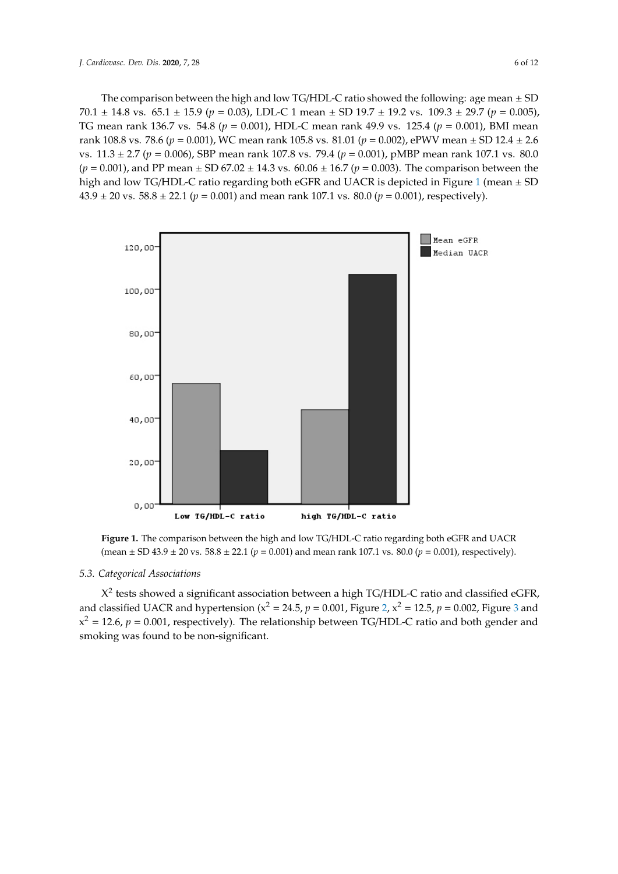The comparison between the high and low TG/HDL-C ratio showed the following: age mean  $\pm$  SD  $70.1 \pm 14.8$  vs.  $65.1 \pm 15.9$  ( $p = 0.03$ ), LDL-C 1 mean  $\pm$  SD 19.7  $\pm$  19.2 vs. 109.3  $\pm$  29.7 ( $p = 0.005$ ), TG mean rank 136.7 vs. 54.8 ( $p = 0.001$ ), HDL-C mean rank 49.9 vs. 125.4 ( $p = 0.001$ ), BMI mean rank 108.8 vs. 78.6 ( $p = 0.001$ ), WC mean rank 105.8 vs. 81.01 ( $p = 0.002$ ), ePWV mean  $\pm$  SD 12.4  $\pm$  2.6 vs.  $11.3 \pm 2.7$  ( $p = 0.006$ ), SBP mean rank 107.8 vs. 79.4 ( $p = 0.001$ ), pMBP mean rank 107.1 vs. 80.0  $(p = 0.001)$ , and PP mean  $\pm$  SD 67.02  $\pm$  14.3 vs. 60.06  $\pm$  16.7 ( $p = 0.003$ ). The comparison between the high and low TG/HDL-C ratio regarding both eGFR and UACR is depicted in Figure [1](#page-5-0) (mean ± SD  $43.9 \pm 20$  vs.  $58.8 \pm 22.1$  ( $p = 0.001$ ) and mean rank 107.1 vs.  $80.0$  ( $p = 0.001$ ), respectively).

<span id="page-5-0"></span>20 vs. 58.8 ± 22.1 (*p* = 0.001) and mean rank 107.1 vs. 80.0 (*p* = 0.001), respectively).



 ${\rm (mean \pm SD \,43.9 \pm 20 \, vs. \, 58.8 \pm 22.1 \, (}p = 0.001{\rm )}$  and mean rank 107.1 vs. 80.0 (*p* = 0.001), respectively. **Figure 1.** The comparison between the high and low TG/HDL-C ratio regarding both eGFR and UACR

# (mean ± SD 43.9 ± 20 vs. 58.8 ± 22.1 (*p* = 0.001) and mean rank 107.1 vs. 80.0 (*p* = 0.001), respectively). *5.3. Categorical Associations*

X<sup>2</sup> tests showed a significant association between a high TG/HDL-C ratio and classified eGFR,  $x^2 = 12.6$ ,  $p = 0.001$ , respectively). The relationship between TG/HDL-C ratio and both gender and and comparison (x2 = 0.001,  $\frac{1}{2}$  = 0.000 x = 0.000 x = 0.000 x = 0.000 x = 0.000 x = 0.000 x = 0.000 x = 0.000 x = 0.000 x = 0.000 x = 0.000 x = 0.000 x = 0.000 x = 0.000 x = 0.000 x = 0.000 x = 0.000 x = 0.000 x = 0. and classified UACR and hypertension ( $x^2 = 24.5$ ,  $p = 0.001$ , Figure [2,](#page-6-0)  $x^2 = 12.5$ ,  $p = 0.002$ , Figure [3](#page-6-1) and

 $\overline{C}$  = 0.0001, *p*  $\overline{C}$  relationship between TG/HDL-C ratio and both generationship between TG/HDL-C ratio and both generationship between TG/HDL-C ratio and both generationship between TG/HDL-C ratio and both gene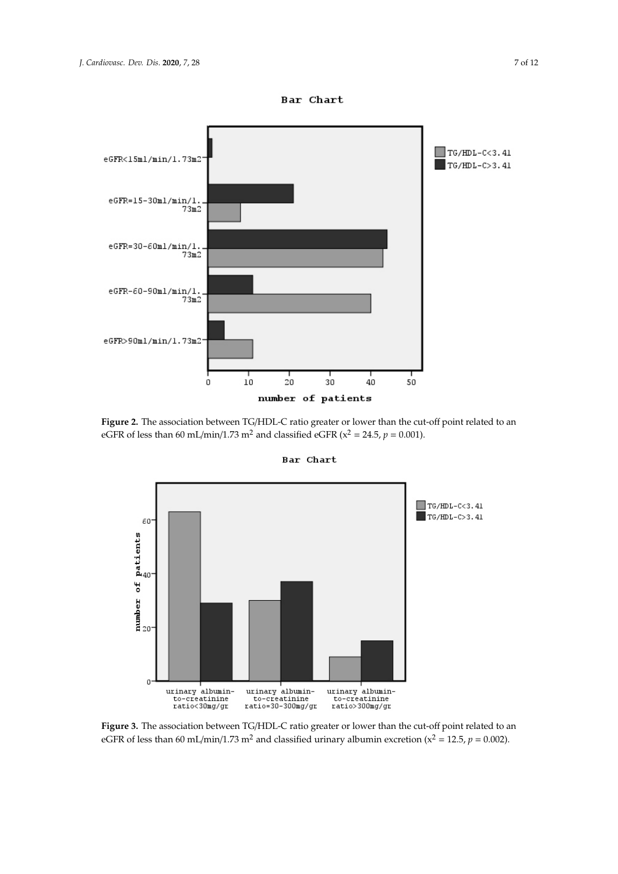<span id="page-6-0"></span>

<span id="page-6-1"></span>Figure 2. The association between TG/HDL-C ratio greater or lower than the cut-off point related to an eGFR of less than 60 mL/min/1.73 m<sup>2</sup> and classified eGFR ( $x^2 = 24.5$ ,  $p = 0.001$ ).



**Bar Chart** 

Figure 3. The association between TG/HDL-C ratio greater or lower than the cut-off point related to an eGFR of less than 60 mL/min/1.73 m<sup>2</sup> and classified urinary albumin excretion ( $x^2 = 12.5$ ,  $p = 0.002$ ).

Bar Chart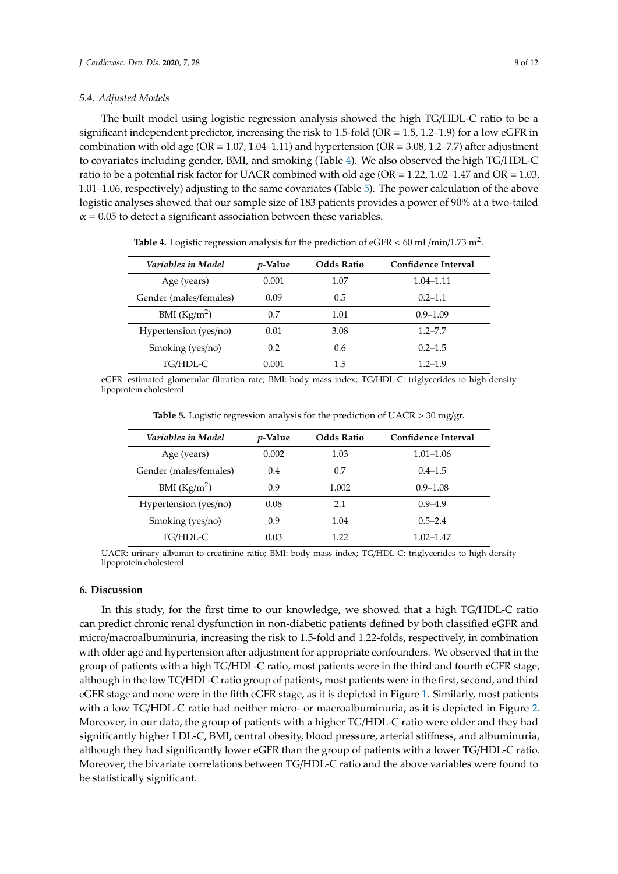## *5.4. Adjusted Models*

The built model using logistic regression analysis showed the high TG/HDL-C ratio to be a significant independent predictor, increasing the risk to 1.5-fold (OR = 1.5, 1.2–1.9) for a low eGFR in combination with old age ( $OR = 1.07$ , 1.04–1.11) and hypertension ( $OR = 3.08$ , 1.2–7.7) after adjustment to covariates including gender, BMI, and smoking (Table [4\)](#page-7-0). We also observed the high TG/HDL-C ratio to be a potential risk factor for UACR combined with old age ( $OR = 1.22$ , 1.02–1.47 and  $OR = 1.03$ , 1.01–1.06, respectively) adjusting to the same covariates (Table [5\)](#page-7-1). The power calculation of the above logistic analyses showed that our sample size of 183 patients provides a power of 90% at a two-tailed  $\alpha$  = 0.05 to detect a significant association between these variables.

<span id="page-7-0"></span>

| Variables in Model     | <i>p</i> -Value | <b>Odds Ratio</b> | Confidence Interval |
|------------------------|-----------------|-------------------|---------------------|
| Age (years)            | 0.001           | 1.07              | $1.04 - 1.11$       |
| Gender (males/females) | 0.09            | 0.5               | $0.2 - 1.1$         |
| BMI $(Kg/m2)$          | 0.7             | 1.01              | $0.9 - 1.09$        |
| Hypertension (yes/no)  | 0.01            | 3.08              | $1.2 - 7.7$         |
| Smoking (yes/no)       | 0.2             | 0.6               | $0.2 - 1.5$         |
| TG/HDL-C               | 0.001           | 1.5               | $1.2 - 1.9$         |

Table 4. Logistic regression analysis for the prediction of eGFR < 60 mL/min/1.73 m<sup>2</sup>.

<span id="page-7-1"></span>eGFR: estimated glomerular filtration rate; BMI: body mass index; TG/HDL-C: triglycerides to high-density lipoprotein cholesterol.

| Variables in Model     | <i>p</i> -Value | <b>Odds Ratio</b> | Confidence Interval |
|------------------------|-----------------|-------------------|---------------------|
| Age (years)            | 0.002           | 1.03              | $1.01 - 1.06$       |
| Gender (males/females) | 0.4             | 0.7               | $0.4 - 1.5$         |
| BMI $(Kg/m2)$          | 0.9             | 1.002             | $0.9 - 1.08$        |
| Hypertension (yes/no)  | 0.08            | 2.1               | $0.9 - 4.9$         |
| Smoking (yes/no)       | 0.9             | 1.04              | $0.5 - 2.4$         |
| TG/HDL-C               | 0.03            | 1.22              | 1.02–1.47           |

**Table 5.** Logistic regression analysis for the prediction of UACR > 30 mg/gr.

UACR: urinary albumin-to-creatinine ratio; BMI: body mass index; TG/HDL-C: triglycerides to high-density lipoprotein cholesterol.

# **6. Discussion**

In this study, for the first time to our knowledge, we showed that a high TG/HDL-C ratio can predict chronic renal dysfunction in non-diabetic patients defined by both classified eGFR and micro/macroalbuminuria, increasing the risk to 1.5-fold and 1.22-folds, respectively, in combination with older age and hypertension after adjustment for appropriate confounders. We observed that in the group of patients with a high TG/HDL-C ratio, most patients were in the third and fourth eGFR stage, although in the low TG/HDL-C ratio group of patients, most patients were in the first, second, and third eGFR stage and none were in the fifth eGFR stage, as it is depicted in Figure [1.](#page-5-0) Similarly, most patients with a low TG/HDL-C ratio had neither micro- or macroalbuminuria, as it is depicted in Figure [2.](#page-6-0) Moreover, in our data, the group of patients with a higher TG/HDL-C ratio were older and they had significantly higher LDL-C, BMI, central obesity, blood pressure, arterial stiffness, and albuminuria, although they had significantly lower eGFR than the group of patients with a lower TG/HDL-C ratio. Moreover, the bivariate correlations between TG/HDL-C ratio and the above variables were found to be statistically significant.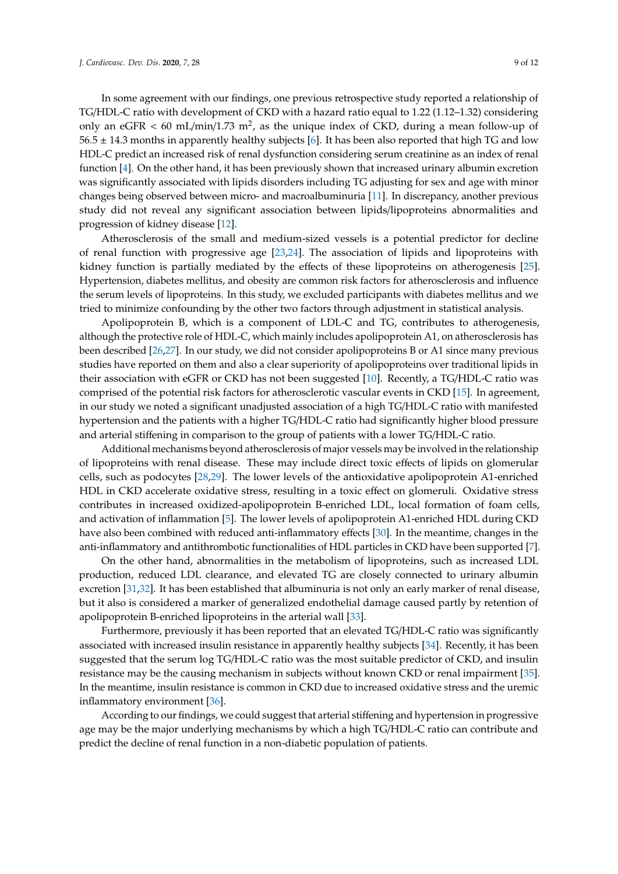In some agreement with our findings, one previous retrospective study reported a relationship of TG/HDL-C ratio with development of CKD with a hazard ratio equal to 1.22 (1.12–1.32) considering only an eGFR  $<$  60 mL/min/1.73 m<sup>2</sup>, as the unique index of CKD, during a mean follow-up of  $56.5 \pm 14.3$  months in apparently healthy subjects [\[6\]](#page-9-4). It has been also reported that high TG and low HDL-C predict an increased risk of renal dysfunction considering serum creatinine as an index of renal function [\[4\]](#page-9-3). On the other hand, it has been previously shown that increased urinary albumin excretion was significantly associated with lipids disorders including TG adjusting for sex and age with minor changes being observed between micro- and macroalbuminuria [\[11\]](#page-10-0). In discrepancy, another previous study did not reveal any significant association between lipids/lipoproteins abnormalities and progression of kidney disease [\[12\]](#page-10-1).

Atherosclerosis of the small and medium-sized vessels is a potential predictor for decline of renal function with progressive age [\[23](#page-10-12)[,24\]](#page-10-13). The association of lipids and lipoproteins with kidney function is partially mediated by the effects of these lipoproteins on atherogenesis [\[25\]](#page-10-14). Hypertension, diabetes mellitus, and obesity are common risk factors for atherosclerosis and influence the serum levels of lipoproteins. In this study, we excluded participants with diabetes mellitus and we tried to minimize confounding by the other two factors through adjustment in statistical analysis.

Apolipoprotein B, which is a component of LDL-C and TG, contributes to atherogenesis, although the protective role of HDL-C, which mainly includes apolipoprotein A1, on atherosclerosis has been described [\[26](#page-10-15)[,27\]](#page-10-16). In our study, we did not consider apolipoproteins B or A1 since many previous studies have reported on them and also a clear superiority of apolipoproteins over traditional lipids in their association with eGFR or CKD has not been suggested [\[10\]](#page-9-8). Recently, a TG/HDL-C ratio was comprised of the potential risk factors for atherosclerotic vascular events in CKD [\[15\]](#page-10-4). In agreement, in our study we noted a significant unadjusted association of a high TG/HDL-C ratio with manifested hypertension and the patients with a higher TG/HDL-C ratio had significantly higher blood pressure and arterial stiffening in comparison to the group of patients with a lower TG/HDL-C ratio.

Additional mechanisms beyond atherosclerosis of major vessels may be involved in the relationship of lipoproteins with renal disease. These may include direct toxic effects of lipids on glomerular cells, such as podocytes [\[28,](#page-10-17)[29\]](#page-11-0). The lower levels of the antioxidative apolipoprotein A1-enriched HDL in CKD accelerate oxidative stress, resulting in a toxic effect on glomeruli. Oxidative stress contributes in increased oxidized-apolipoprotein B-enriched LDL, local formation of foam cells, and activation of inflammation [\[5\]](#page-9-9). The lower levels of apolipoprotein A1-enriched HDL during CKD have also been combined with reduced anti-inflammatory effects [\[30\]](#page-11-1). In the meantime, changes in the anti-inflammatory and antithrombotic functionalities of HDL particles in CKD have been supported [\[7\]](#page-9-5).

On the other hand, abnormalities in the metabolism of lipoproteins, such as increased LDL production, reduced LDL clearance, and elevated TG are closely connected to urinary albumin excretion [\[31](#page-11-2)[,32\]](#page-11-3). It has been established that albuminuria is not only an early marker of renal disease, but it also is considered a marker of generalized endothelial damage caused partly by retention of apolipoprotein B-enriched lipoproteins in the arterial wall [\[33\]](#page-11-4).

Furthermore, previously it has been reported that an elevated TG/HDL-C ratio was significantly associated with increased insulin resistance in apparently healthy subjects [\[34\]](#page-11-5). Recently, it has been suggested that the serum log TG/HDL-C ratio was the most suitable predictor of CKD, and insulin resistance may be the causing mechanism in subjects without known CKD or renal impairment [\[35\]](#page-11-6). In the meantime, insulin resistance is common in CKD due to increased oxidative stress and the uremic inflammatory environment [\[36\]](#page-11-7).

According to our findings, we could suggest that arterial stiffening and hypertension in progressive age may be the major underlying mechanisms by which a high TG/HDL-C ratio can contribute and predict the decline of renal function in a non-diabetic population of patients.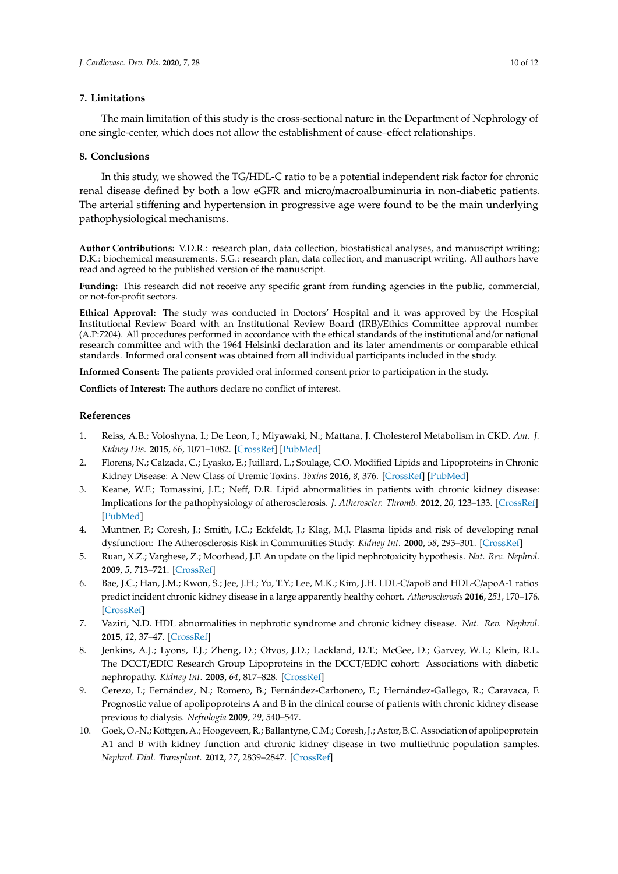## **7. Limitations**

The main limitation of this study is the cross-sectional nature in the Department of Nephrology of one single-center, which does not allow the establishment of cause–effect relationships.

## **8. Conclusions**

In this study, we showed the TG/HDL-C ratio to be a potential independent risk factor for chronic renal disease defined by both a low eGFR and micro/macroalbuminuria in non-diabetic patients. The arterial stiffening and hypertension in progressive age were found to be the main underlying pathophysiological mechanisms.

**Author Contributions:** V.D.R.: research plan, data collection, biostatistical analyses, and manuscript writing; D.K.: biochemical measurements. S.G.: research plan, data collection, and manuscript writing. All authors have read and agreed to the published version of the manuscript.

**Funding:** This research did not receive any specific grant from funding agencies in the public, commercial, or not-for-profit sectors.

**Ethical Approval:** The study was conducted in Doctors' Hospital and it was approved by the Hospital Institutional Review Board with an Institutional Review Board (IRB)/Ethics Committee approval number (A.P:7204). All procedures performed in accordance with the ethical standards of the institutional and/or national research committee and with the 1964 Helsinki declaration and its later amendments or comparable ethical standards. Informed oral consent was obtained from all individual participants included in the study.

**Informed Consent:** The patients provided oral informed consent prior to participation in the study.

**Conflicts of Interest:** The authors declare no conflict of interest.

## **References**

- <span id="page-9-0"></span>1. Reiss, A.B.; Voloshyna, I.; De Leon, J.; Miyawaki, N.; Mattana, J. Cholesterol Metabolism in CKD. *Am. J. Kidney Dis.* **2015**, *66*, 1071–1082. [\[CrossRef\]](http://dx.doi.org/10.1053/j.ajkd.2015.06.028) [\[PubMed\]](http://www.ncbi.nlm.nih.gov/pubmed/26337134)
- <span id="page-9-1"></span>2. Florens, N.; Calzada, C.; Lyasko, E.; Juillard, L.; Soulage, C.O. Modified Lipids and Lipoproteins in Chronic Kidney Disease: A New Class of Uremic Toxins. *Toxins* **2016**, *8*, 376. [\[CrossRef\]](http://dx.doi.org/10.3390/toxins8120376) [\[PubMed\]](http://www.ncbi.nlm.nih.gov/pubmed/27999257)
- <span id="page-9-2"></span>3. Keane, W.F.; Tomassini, J.E.; Neff, D.R. Lipid abnormalities in patients with chronic kidney disease: Implications for the pathophysiology of atherosclerosis. *J. Atheroscler. Thromb.* **2012**, *20*, 123–133. [\[CrossRef\]](http://dx.doi.org/10.5551/jat.12849) [\[PubMed\]](http://www.ncbi.nlm.nih.gov/pubmed/23095239)
- <span id="page-9-3"></span>4. Muntner, P.; Coresh, J.; Smith, J.C.; Eckfeldt, J.; Klag, M.J. Plasma lipids and risk of developing renal dysfunction: The Atherosclerosis Risk in Communities Study. *Kidney Int.* **2000**, *58*, 293–301. [\[CrossRef\]](http://dx.doi.org/10.1046/j.1523-1755.2000.00165.x)
- <span id="page-9-9"></span>5. Ruan, X.Z.; Varghese, Z.; Moorhead, J.F. An update on the lipid nephrotoxicity hypothesis. *Nat. Rev. Nephrol.* **2009**, *5*, 713–721. [\[CrossRef\]](http://dx.doi.org/10.1038/nrneph.2009.184)
- <span id="page-9-4"></span>6. Bae, J.C.; Han, J.M.; Kwon, S.; Jee, J.H.; Yu, T.Y.; Lee, M.K.; Kim, J.H. LDL-C/apoB and HDL-C/apoA-1 ratios predict incident chronic kidney disease in a large apparently healthy cohort. *Atherosclerosis* **2016**, *251*, 170–176. [\[CrossRef\]](http://dx.doi.org/10.1016/j.atherosclerosis.2016.06.029)
- <span id="page-9-5"></span>7. Vaziri, N.D. HDL abnormalities in nephrotic syndrome and chronic kidney disease. *Nat. Rev. Nephrol.* **2015**, *12*, 37–47. [\[CrossRef\]](http://dx.doi.org/10.1038/nrneph.2015.180)
- <span id="page-9-6"></span>8. Jenkins, A.J.; Lyons, T.J.; Zheng, D.; Otvos, J.D.; Lackland, D.T.; McGee, D.; Garvey, W.T.; Klein, R.L. The DCCT/EDIC Research Group Lipoproteins in the DCCT/EDIC cohort: Associations with diabetic nephropathy. *Kidney Int.* **2003**, *64*, 817–828. [\[CrossRef\]](http://dx.doi.org/10.1046/j.1523-1755.2003.00164.x)
- <span id="page-9-7"></span>9. Cerezo, I.; Fernández, N.; Romero, B.; Fernández-Carbonero, E.; Hernández-Gallego, R.; Caravaca, F. Prognostic value of apolipoproteins A and B in the clinical course of patients with chronic kidney disease previous to dialysis. *Nefrología* **2009**, *29*, 540–547.
- <span id="page-9-8"></span>10. Goek, O.-N.; Köttgen, A.; Hoogeveen, R.; Ballantyne, C.M.; Coresh, J.; Astor, B.C. Association of apolipoprotein A1 and B with kidney function and chronic kidney disease in two multiethnic population samples. *Nephrol. Dial. Transplant.* **2012**, *27*, 2839–2847. [\[CrossRef\]](http://dx.doi.org/10.1093/ndt/gfr795)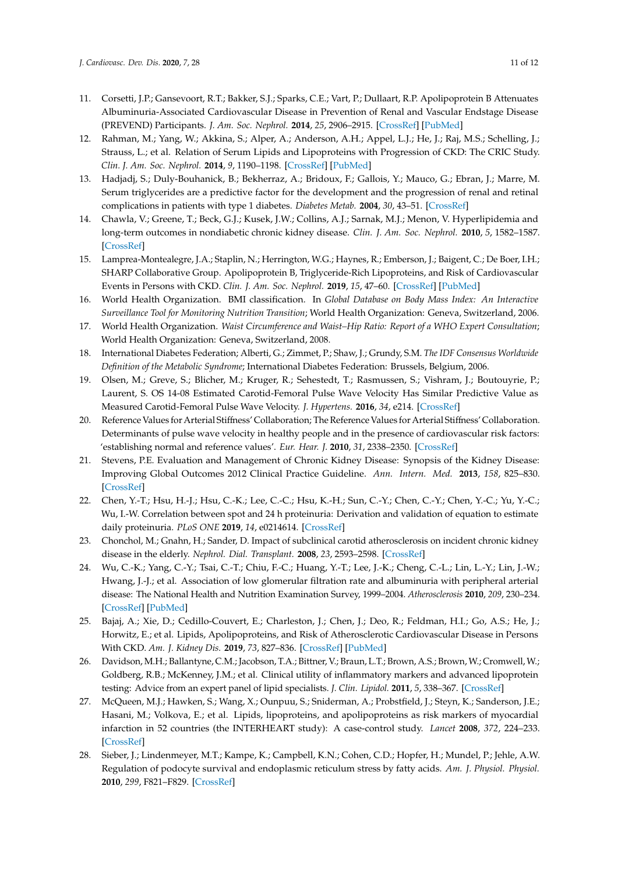- <span id="page-10-0"></span>11. Corsetti, J.P.; Gansevoort, R.T.; Bakker, S.J.; Sparks, C.E.; Vart, P.; Dullaart, R.P. Apolipoprotein B Attenuates Albuminuria-Associated Cardiovascular Disease in Prevention of Renal and Vascular Endstage Disease (PREVEND) Participants. *J. Am. Soc. Nephrol.* **2014**, *25*, 2906–2915. [\[CrossRef\]](http://dx.doi.org/10.1681/ASN.2013121256) [\[PubMed\]](http://www.ncbi.nlm.nih.gov/pubmed/24854276)
- <span id="page-10-1"></span>12. Rahman, M.; Yang, W.; Akkina, S.; Alper, A.; Anderson, A.H.; Appel, L.J.; He, J.; Raj, M.S.; Schelling, J.; Strauss, L.; et al. Relation of Serum Lipids and Lipoproteins with Progression of CKD: The CRIC Study. *Clin. J. Am. Soc. Nephrol.* **2014**, *9*, 1190–1198. [\[CrossRef\]](http://dx.doi.org/10.2215/CJN.09320913) [\[PubMed\]](http://www.ncbi.nlm.nih.gov/pubmed/24832097)
- <span id="page-10-2"></span>13. Hadjadj, S.; Duly-Bouhanick, B.; Bekherraz, A.; Bridoux, F.; Gallois, Y.; Mauco, G.; Ebran, J.; Marre, M. Serum triglycerides are a predictive factor for the development and the progression of renal and retinal complications in patients with type 1 diabetes. *Diabetes Metab.* **2004**, *30*, 43–51. [\[CrossRef\]](http://dx.doi.org/10.1016/S1262-3636(07)70088-5)
- <span id="page-10-3"></span>14. Chawla, V.; Greene, T.; Beck, G.J.; Kusek, J.W.; Collins, A.J.; Sarnak, M.J.; Menon, V. Hyperlipidemia and long-term outcomes in nondiabetic chronic kidney disease. *Clin. J. Am. Soc. Nephrol.* **2010**, *5*, 1582–1587. [\[CrossRef\]](http://dx.doi.org/10.2215/CJN.01450210)
- <span id="page-10-4"></span>15. Lamprea-Montealegre, J.A.; Staplin, N.; Herrington, W.G.; Haynes, R.; Emberson, J.; Baigent, C.; De Boer, I.H.; SHARP Collaborative Group. Apolipoprotein B, Triglyceride-Rich Lipoproteins, and Risk of Cardiovascular Events in Persons with CKD. *Clin. J. Am. Soc. Nephrol.* **2019**, *15*, 47–60. [\[CrossRef\]](http://dx.doi.org/10.2215/CJN.07320619) [\[PubMed\]](http://www.ncbi.nlm.nih.gov/pubmed/31831577)
- <span id="page-10-5"></span>16. World Health Organization. BMI classification. In *Global Database on Body Mass Index: An Interactive Surveillance Tool for Monitoring Nutrition Transition*; World Health Organization: Geneva, Switzerland, 2006.
- <span id="page-10-6"></span>17. World Health Organization. *Waist Circumference and Waist–Hip Ratio: Report of a WHO Expert Consultation*; World Health Organization: Geneva, Switzerland, 2008.
- <span id="page-10-7"></span>18. International Diabetes Federation; Alberti, G.; Zimmet, P.; Shaw, J.; Grundy, S.M. *The IDF Consensus Worldwide Definition of the Metabolic Syndrome*; International Diabetes Federation: Brussels, Belgium, 2006.
- <span id="page-10-8"></span>19. Olsen, M.; Greve, S.; Blicher, M.; Kruger, R.; Sehestedt, T.; Rasmussen, S.; Vishram, J.; Boutouyrie, P.; Laurent, S. OS 14-08 Estimated Carotid-Femoral Pulse Wave Velocity Has Similar Predictive Value as Measured Carotid-Femoral Pulse Wave Velocity. *J. Hypertens.* **2016**, *34*, e214. [\[CrossRef\]](http://dx.doi.org/10.1097/01.hjh.0000500466.31870.0c)
- <span id="page-10-9"></span>20. Reference Values for Arterial Stiffness' Collaboration; The Reference Values for Arterial Stiffness' Collaboration. Determinants of pulse wave velocity in healthy people and in the presence of cardiovascular risk factors: 'establishing normal and reference values'. *Eur. Hear. J.* **2010**, *31*, 2338–2350. [\[CrossRef\]](http://dx.doi.org/10.1093/eurheartj/ehq165)
- <span id="page-10-10"></span>21. Stevens, P.E. Evaluation and Management of Chronic Kidney Disease: Synopsis of the Kidney Disease: Improving Global Outcomes 2012 Clinical Practice Guideline. *Ann. Intern. Med.* **2013**, *158*, 825–830. [\[CrossRef\]](http://dx.doi.org/10.7326/0003-4819-158-11-201306040-00007)
- <span id="page-10-11"></span>22. Chen, Y.-T.; Hsu, H.-J.; Hsu, C.-K.; Lee, C.-C.; Hsu, K.-H.; Sun, C.-Y.; Chen, C.-Y.; Chen, Y.-C.; Yu, Y.-C.; Wu, I.-W. Correlation between spot and 24 h proteinuria: Derivation and validation of equation to estimate daily proteinuria. *PLoS ONE* **2019**, *14*, e0214614. [\[CrossRef\]](http://dx.doi.org/10.1371/journal.pone.0214614)
- <span id="page-10-12"></span>23. Chonchol, M.; Gnahn, H.; Sander, D. Impact of subclinical carotid atherosclerosis on incident chronic kidney disease in the elderly. *Nephrol. Dial. Transplant.* **2008**, *23*, 2593–2598. [\[CrossRef\]](http://dx.doi.org/10.1093/ndt/gfn021)
- <span id="page-10-13"></span>24. Wu, C.-K.; Yang, C.-Y.; Tsai, C.-T.; Chiu, F.-C.; Huang, Y.-T.; Lee, J.-K.; Cheng, C.-L.; Lin, L.-Y.; Lin, J.-W.; Hwang, J.-J.; et al. Association of low glomerular filtration rate and albuminuria with peripheral arterial disease: The National Health and Nutrition Examination Survey, 1999–2004. *Atherosclerosis* **2010**, *209*, 230–234. [\[CrossRef\]](http://dx.doi.org/10.1016/j.atherosclerosis.2009.08.038) [\[PubMed\]](http://www.ncbi.nlm.nih.gov/pubmed/19748618)
- <span id="page-10-14"></span>25. Bajaj, A.; Xie, D.; Cedillo-Couvert, E.; Charleston, J.; Chen, J.; Deo, R.; Feldman, H.I.; Go, A.S.; He, J.; Horwitz, E.; et al. Lipids, Apolipoproteins, and Risk of Atherosclerotic Cardiovascular Disease in Persons With CKD. *Am. J. Kidney Dis.* **2019**, *73*, 827–836. [\[CrossRef\]](http://dx.doi.org/10.1053/j.ajkd.2018.11.010) [\[PubMed\]](http://www.ncbi.nlm.nih.gov/pubmed/30686529)
- <span id="page-10-15"></span>26. Davidson, M.H.; Ballantyne, C.M.; Jacobson, T.A.; Bittner, V.; Braun, L.T.; Brown, A.S.; Brown,W.; Cromwell,W.; Goldberg, R.B.; McKenney, J.M.; et al. Clinical utility of inflammatory markers and advanced lipoprotein testing: Advice from an expert panel of lipid specialists. *J. Clin. Lipidol.* **2011**, *5*, 338–367. [\[CrossRef\]](http://dx.doi.org/10.1016/j.jacl.2011.07.005)
- <span id="page-10-16"></span>27. McQueen, M.J.; Hawken, S.; Wang, X.; Ounpuu, S.; Sniderman, A.; Probstfield, J.; Steyn, K.; Sanderson, J.E.; Hasani, M.; Volkova, E.; et al. Lipids, lipoproteins, and apolipoproteins as risk markers of myocardial infarction in 52 countries (the INTERHEART study): A case-control study. *Lancet* **2008**, *372*, 224–233. [\[CrossRef\]](http://dx.doi.org/10.1016/S0140-6736(08)61076-4)
- <span id="page-10-17"></span>28. Sieber, J.; Lindenmeyer, M.T.; Kampe, K.; Campbell, K.N.; Cohen, C.D.; Hopfer, H.; Mundel, P.; Jehle, A.W. Regulation of podocyte survival and endoplasmic reticulum stress by fatty acids. *Am. J. Physiol. Physiol.* **2010**, *299*, F821–F829. [\[CrossRef\]](http://dx.doi.org/10.1152/ajprenal.00196.2010)